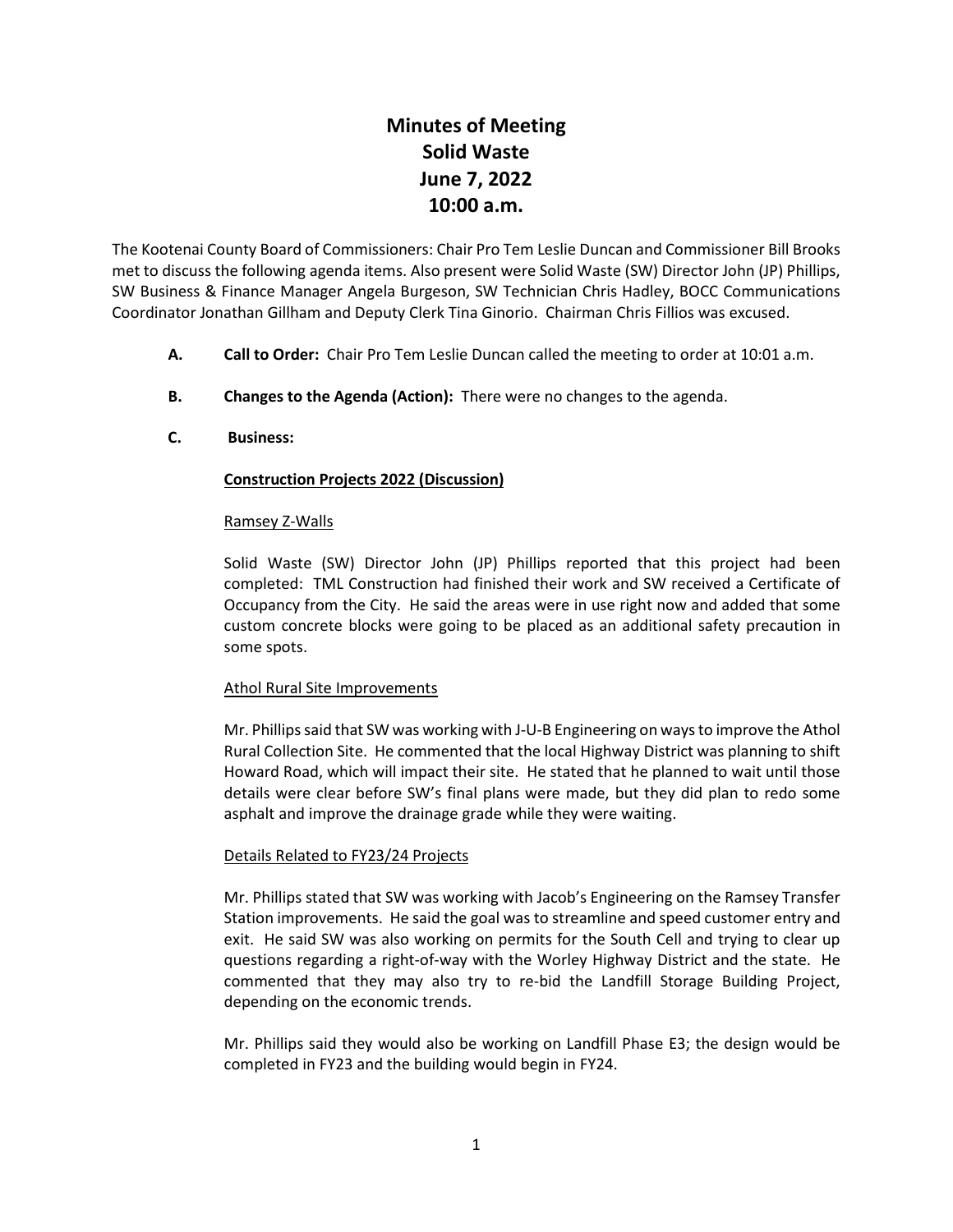# **Minutes of Meeting Solid Waste June 7, 2022 10:00 a.m.**

The Kootenai County Board of Commissioners: Chair Pro Tem Leslie Duncan and Commissioner Bill Brooks met to discuss the following agenda items. Also present were Solid Waste (SW) Director John (JP) Phillips, SW Business & Finance Manager Angela Burgeson, SW Technician Chris Hadley, BOCC Communications Coordinator Jonathan Gillham and Deputy Clerk Tina Ginorio. Chairman Chris Fillios was excused.

- **A. Call to Order:** Chair Pro Tem Leslie Duncan called the meeting to order at 10:01 a.m.
- **B. Changes to the Agenda (Action):** There were no changes to the agenda.
- **C. Business:**

# **Construction Projects 2022 (Discussion)**

## Ramsey Z-Walls

Solid Waste (SW) Director John (JP) Phillips reported that this project had been completed: TML Construction had finished their work and SW received a Certificate of Occupancy from the City. He said the areas were in use right now and added that some custom concrete blocks were going to be placed as an additional safety precaution in some spots.

## Athol Rural Site Improvements

Mr. Phillips said that SW was working with J-U-B Engineering on ways to improve the Athol Rural Collection Site. He commented that the local Highway District was planning to shift Howard Road, which will impact their site. He stated that he planned to wait until those details were clear before SW's final plans were made, but they did plan to redo some asphalt and improve the drainage grade while they were waiting.

## Details Related to FY23/24 Projects

Mr. Phillips stated that SW was working with Jacob's Engineering on the Ramsey Transfer Station improvements. He said the goal was to streamline and speed customer entry and exit. He said SW was also working on permits for the South Cell and trying to clear up questions regarding a right-of-way with the Worley Highway District and the state. He commented that they may also try to re-bid the Landfill Storage Building Project, depending on the economic trends.

Mr. Phillips said they would also be working on Landfill Phase E3; the design would be completed in FY23 and the building would begin in FY24.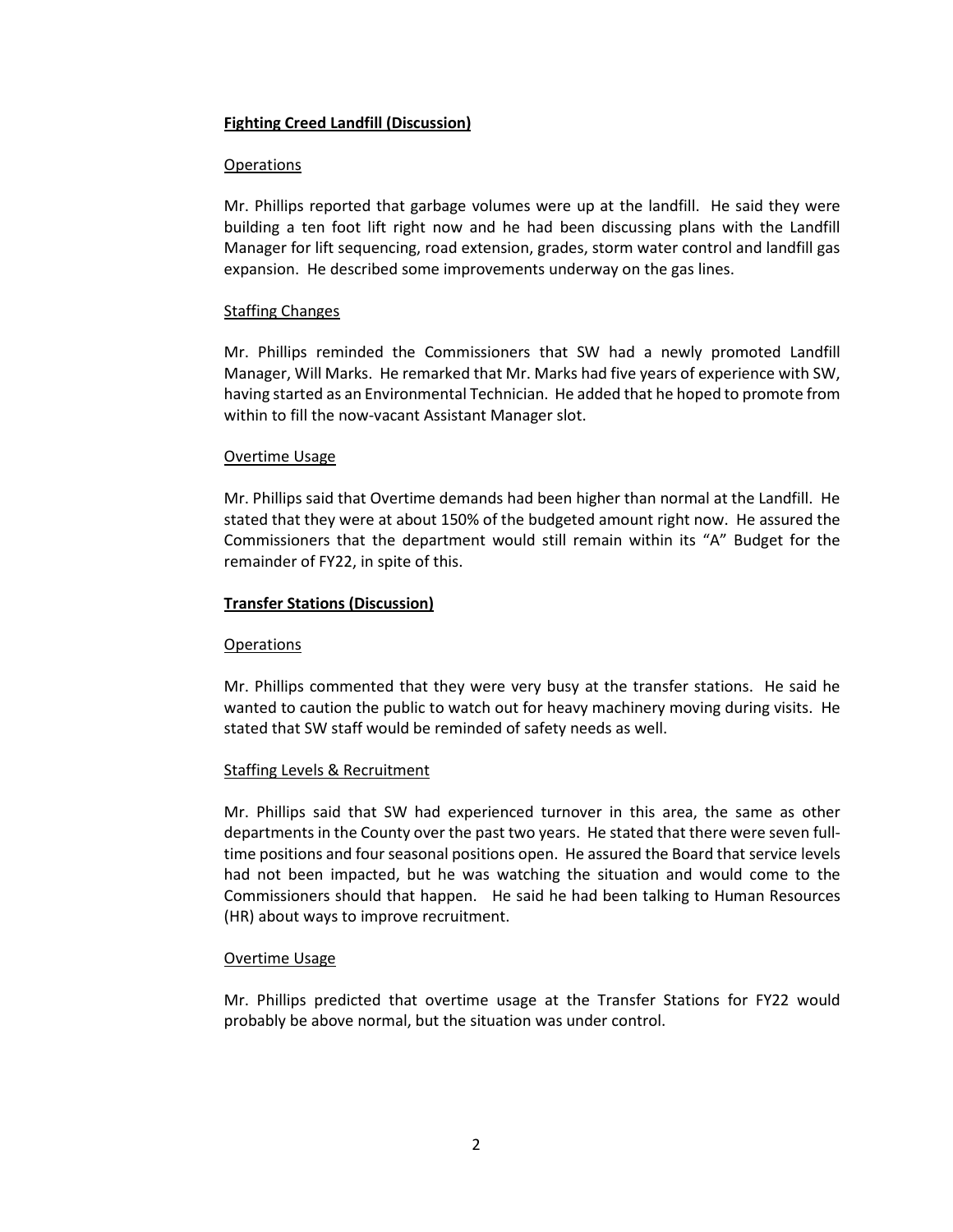## **Fighting Creed Landfill (Discussion)**

### Operations

Mr. Phillips reported that garbage volumes were up at the landfill. He said they were building a ten foot lift right now and he had been discussing plans with the Landfill Manager for lift sequencing, road extension, grades, storm water control and landfill gas expansion. He described some improvements underway on the gas lines.

#### Staffing Changes

Mr. Phillips reminded the Commissioners that SW had a newly promoted Landfill Manager, Will Marks. He remarked that Mr. Marks had five years of experience with SW, having started as an Environmental Technician. He added that he hoped to promote from within to fill the now-vacant Assistant Manager slot.

#### Overtime Usage

Mr. Phillips said that Overtime demands had been higher than normal at the Landfill. He stated that they were at about 150% of the budgeted amount right now. He assured the Commissioners that the department would still remain within its "A" Budget for the remainder of FY22, in spite of this.

#### **Transfer Stations (Discussion)**

## Operations

Mr. Phillips commented that they were very busy at the transfer stations. He said he wanted to caution the public to watch out for heavy machinery moving during visits. He stated that SW staff would be reminded of safety needs as well.

## Staffing Levels & Recruitment

Mr. Phillips said that SW had experienced turnover in this area, the same as other departments in the County over the past two years. He stated that there were seven fulltime positions and four seasonal positions open. He assured the Board that service levels had not been impacted, but he was watching the situation and would come to the Commissioners should that happen. He said he had been talking to Human Resources (HR) about ways to improve recruitment.

#### Overtime Usage

Mr. Phillips predicted that overtime usage at the Transfer Stations for FY22 would probably be above normal, but the situation was under control.